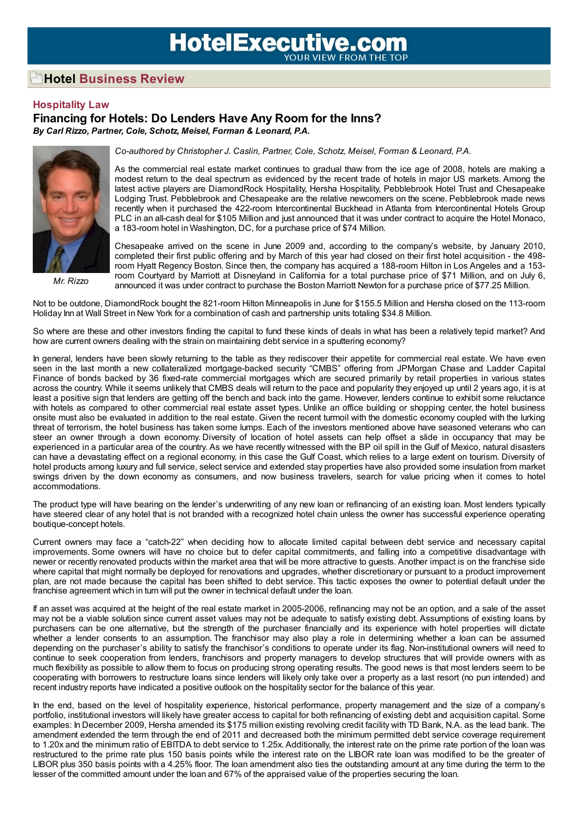## **HotelExecutive.com**

## **Hotel Business Review**

## **Hospitality Law**

## **Financing for Hotels: Do Lenders Have Any Room for the Inns?** *By Carl Rizzo, Partner, Cole, Schotz, Meisel, Forman & Leonard, P.A.*



*Mr. Rizzo*

*Co-authored by Christopher J. Caslin, Partner, Cole, Schotz, Meisel, Forman & Leonard, P.A.*

As the commercial real estate market continues to gradual thaw from the ice age of 2008, hotels are making a modest return to the deal spectrum as evidenced by the recent trade of hotels in major US markets. Among the latest active players are DiamondRock Hospitality, Hersha Hospitality, Pebblebrook Hotel Trust and Chesapeake Lodging Trust. Pebblebrook and Chesapeake are the relative newcomers on the scene. Pebblebrook made news recently when it purchased the 422-room Intercontinental Buckhead in Atlanta from Intercontinental Hotels Group PLC in an all-cash deal for \$105 Million and just announced that it was under contract to acquire the Hotel Monaco, a 183-room hotel in Washington, DC, for a purchase price of \$74 Million.

Chesapeake arrived on the scene in June 2009 and, according to the company's website, by January 2010, completed their first public offering and by March of this year had closed on their first hotel acquisition - the 498 room Hyatt Regency Boston. Since then, the company has acquired a 188-room Hilton in Los Angeles and a 153 room Courtyard by Marriott at Disneyland in California for a total purchase price of \$71 Million, and on July 6, announced it was under contract to purchase the Boston Marriott Newton for a purchase price of \$77.25 Million.

Not to be outdone, DiamondRock bought the 821-room Hilton Minneapolis in June for \$155.5 Million and Hersha closed on the 113-room Holiday Inn at Wall Street in New York for a combination of cash and partnership units totaling \$34.8 Million.

So where are these and other investors finding the capital to fund these kinds of deals in what has been a relatively tepid market? And how are current owners dealing with the strain on maintaining debt service in a sputtering economy?

In general, lenders have been slowly returning to the table as they rediscover their appetite for commercial real estate. We have even seen in the last month a new collateralized mortgage-backed security "CMBS" offering from JPMorgan Chase and Ladder Capital Finance of bonds backed by 36 fixed-rate commercial mortgages which are secured primarily by retail properties in various states across the country. While it seems unlikely that CMBS deals will return to the pace and popularity they enjoyed up until 2 years ago, it is at least a positive sign that lenders are getting off the bench and back into the game. However, lenders continue to exhibit some reluctance with hotels as compared to other commercial real estate asset types. Unlike an office building or shopping center, the hotel business onsite must also be evaluated in addition to the real estate. Given the recent turmoil with the domestic economy coupled with the lurking threat of terrorism, the hotel business has taken some lumps. Each of the investors mentioned above have seasoned veterans who can steer an owner through a down economy. Diversity of location of hotel assets can help offset a slide in occupancy that may be experienced in a particular area of the country. As we have recently witnessed with the BP oil spill in the Gulf of Mexico, natural disasters can have a devastating effect on a regional economy, in this case the Gulf Coast, which relies to a large extent on tourism. Diversity of hotel products among luxury and full service, select service and extended stay properties have also provided some insulation from market swings driven by the down economy as consumers, and now business travelers, search for value pricing when it comes to hotel accommodations.

The product type will have bearing on the lender's underwriting of any new loan or refinancing of an existing loan. Most lenders typically have steered clear of any hotel that is not branded with a recognized hotel chain unless the owner has successful experience operating boutique-concept hotels.

Current owners may face a "catch-22" when deciding how to allocate limited capital between debt service and necessary capital improvements. Some owners will have no choice but to defer capital commitments, and falling into a competitive disadvantage with newer or recently renovated products within the market area that will be more attractive to guests. Another impact is on the franchise side where capital that might normally be deployed for renovations and upgrades, whether discretionary or pursuant to a product improvement plan, are not made because the capital has been shifted to debt service. This tactic exposes the owner to potential default under the franchise agreement which in turn will put the owner in technical default under the loan.

If an asset was acquired at the height of the real estate market in 2005-2006, refinancing may not be an option, and a sale of the asset may not be a viable solution since current asset values may not be adequate to satisfy existing debt. Assumptions of existing loans by purchasers can be one alternative, but the strength of the purchaser financially and its experience with hotel properties will dictate whether a lender consents to an assumption. The franchisor may also play a role in determining whether a loan can be assumed depending on the purchaser's ability to satisfy the franchisor's conditions to operate under its flag. Non-institutional owners will need to continue to seek cooperation from lenders, franchisors and property managers to develop structures that will provide owners with as much flexibility as possible to allow them to focus on producing strong operating results. The good news is that most lenders seem to be cooperating with borrowers to restructure loans since lenders will likely only take over a property as a last resort (no pun intended) and recent industry reports have indicated a positive outlook on the hospitality sector for the balance of this year.

In the end, based on the level of hospitality experience, historical performance, property management and the size of a company's portfolio, institutional investors will likely have greater access to capital for both refinancing of existing debt and acquisition capital. Some examples: In December 2009, Hersha amended its \$175 million existing revolving credit facility with TD Bank, N.A. as the lead bank. The amendment extended the term through the end of 2011 and decreased both the minimum permitted debt service coverage requirement to 1.20x and the minimum ratio of EBITDA to debt service to 1.25x. Additionally, the interest rate on the prime rate portion of the loan was restructured to the prime rate plus 150 basis points while the interest rate on the LIBOR rate loan was modified to be the greater of LIBOR plus 350 basis points with a 4.25% floor. The loan amendment also ties the outstanding amount at any time during the term to the lesser of the committed amount under the loan and 67% of the appraised value of the properties securing the loan.